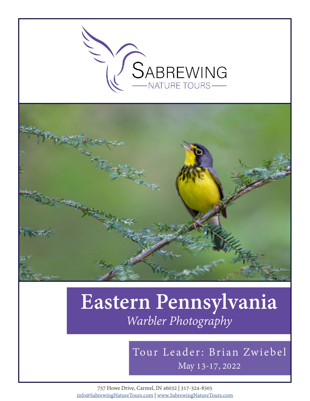

# **Eastern Pennsylvania** *Warbler Photography*

# May 13-17, 2022 Tour Leader: Brian Zwiebel

757 Howe Drive, Carmel, IN 46032 | 317-324-8505 info@SabrewingNatureTours.com | www.SabrewingNatureTours.com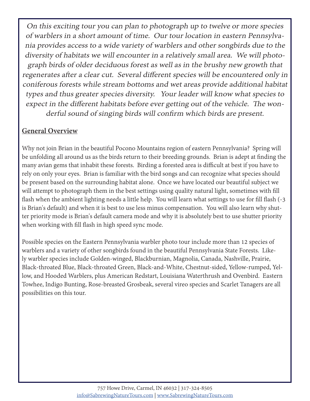On this exciting tour you can plan to photograph up to twelve or more species of warblers in a short amount of time. Our tour location in eastern Pennsylvania provides access to a wide variety of warblers and other songbirds due to the diversity of habitats we will encounter in a relatively small area. We will photograph birds of older deciduous forest as well as in the brushy new growth that regenerates after a clear cut. Several different species will be encountered only in coniferous forests while stream bottoms and wet areas provide additional habitat types and thus greater species diversity. Your leader will know what species to expect in the different habitats before ever getting out of the vehicle. The wonderful sound of singing birds will confirm which birds are present.

### **General Overview**

Why not join Brian in the beautiful Pocono Mountains region of eastern Pennsylvania? Spring will be unfolding all around us as the birds return to their breeding grounds. Brian is adept at finding the many avian gems that inhabit these forests. Birding a forested area is difficult at best if you have to rely on only your eyes. Brian is familiar with the bird songs and can recognize what species should be present based on the surrounding habitat alone. Once we have located our beautiful subject we will attempt to photograph them in the best settings using quality natural light, sometimes with fill flash when the ambient lighting needs a little help. You will learn what settings to use for fill flash (-3 is Brian's default) and when it is best to use less minus compensation. You will also learn why shutter priority mode is Brian's default camera mode and why it is absolutely best to use shutter priority when working with fill flash in high speed sync mode.

Possible species on the Eastern Pennsylvania warbler photo tour include more than 12 species of warblers and a variety of other songbirds found in the beautiful Pennsylvania State Forests. Likely warbler species include Golden-winged, Blackburnian, Magnolia, Canada, Nashville, Prairie, Black-throated Blue, Black-throated Green, Black-and-White, Chestnut-sided, Yellow-rumped, Yellow, and Hooded Warblers, plus American Redstart, Louisiana Waterthrush and Ovenbird. Eastern Towhee, Indigo Bunting, Rose-breasted Grosbeak, several vireo species and Scarlet Tanagers are all possibilities on this tour.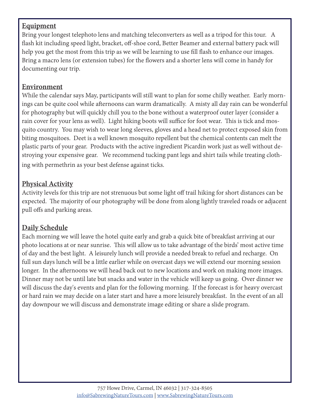#### **Equipment**

Bring your longest telephoto lens and matching teleconverters as well as a tripod for this tour. A flash kit including speed light, bracket, off-shoe cord, Better Beamer and external battery pack will help you get the most from this trip as we will be learning to use fill flash to enhance our images. Bring a macro lens (or extension tubes) for the flowers and a shorter lens will come in handy for documenting our trip.

#### **Environment**

While the calendar says May, participants will still want to plan for some chilly weather. Early mornings can be quite cool while afternoons can warm dramatically. A misty all day rain can be wonderful for photography but will quickly chill you to the bone without a waterproof outer layer (consider a rain cover for your lens as well). Light hiking boots will suffice for foot wear. This is tick and mosquito country. You may wish to wear long sleeves, gloves and a head net to protect exposed skin from biting mosquitoes. Deet is a well known mosquito repellent but the chemical contents can melt the plastic parts of your gear. Products with the active ingredient Picardin work just as well without destroying your expensive gear. We recommend tucking pant legs and shirt tails while treating clothing with permethrin as your best defense against ticks.

#### **Physical Activity**

Activity levels for this trip are not strenuous but some light off trail hiking for short distances can be expected. The majority of our photography will be done from along lightly traveled roads or adjacent pull offs and parking areas.

#### **Daily Schedule**

Each morning we will leave the hotel quite early and grab a quick bite of breakfast arriving at our photo locations at or near sunrise. This will allow us to take advantage of the birds' most active time of day and the best light. A leisurely lunch will provide a needed break to refuel and recharge. On full sun days lunch will be a little earlier while on overcast days we will extend our morning session longer. In the afternoons we will head back out to new locations and work on making more images. Dinner may not be until late but snacks and water in the vehicle will keep us going. Over dinner we will discuss the day's events and plan for the following morning. If the forecast is for heavy overcast or hard rain we may decide on a later start and have a more leisurely breakfast. In the event of an all day downpour we will discuss and demonstrate image editing or share a slide program.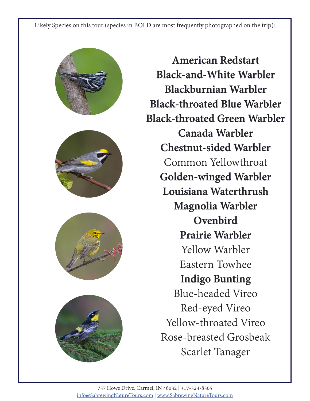Likely Species on this tour (species in BOLD are most frequently photographed on the trip):









**American Redstart Black-and-White Warbler Blackburnian Warbler Black-throated Blue Warbler Black-throated Green Warbler Canada Warbler Chestnut-sided Warbler** Common Yellowthroat **Golden-winged Warbler Louisiana Waterthrush Magnolia Warbler Ovenbird Prairie Warbler** Yellow Warbler Eastern Towhee **Indigo Bunting** Blue-headed Vireo Red-eyed Vireo

Yellow-throated Vireo Rose-breasted Grosbeak Scarlet Tanager